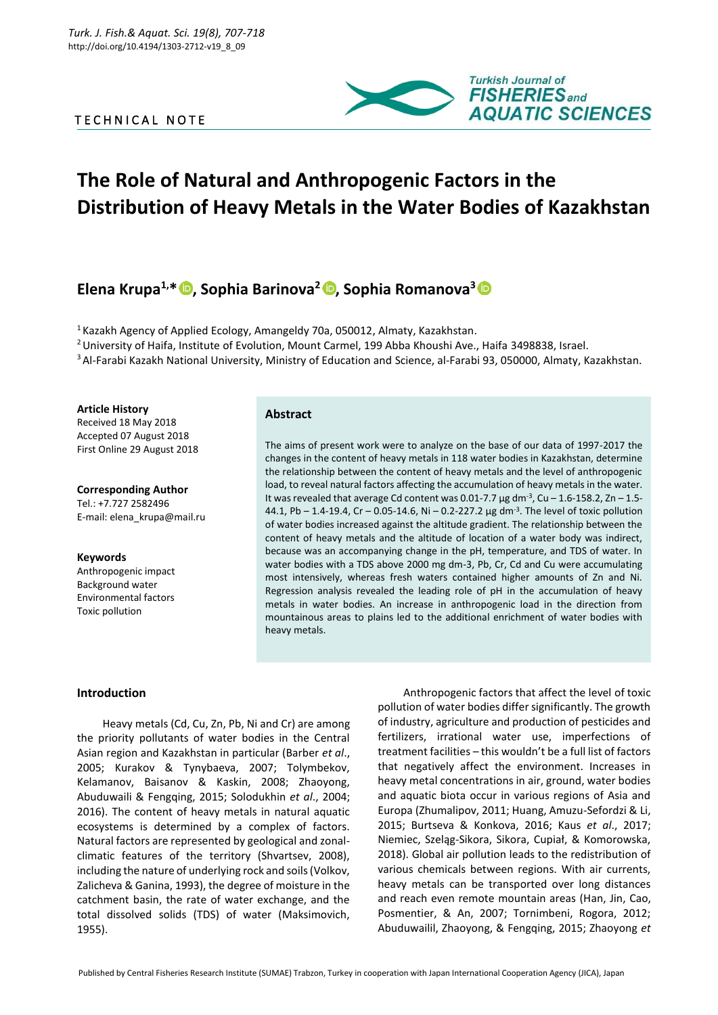TECHNICAL NOTE



# **The Role of Natural and Anthropogenic Factors in the Distribution of Heavy Metals in the Water Bodies of Kazakhstan**

# **Elena Krupa1,\* [,](https://orcid.org/0000-0001-9401-0258) Sophia Barinova<sup>2</sup> , Sophia Romanova<sup>3</sup>**

<sup>1</sup> Kazakh Agency of Applied Ecology, Amangeldy 70a, 050012, Almaty, Kazakhstan.

<sup>2</sup> University of Haifa, Institute of Evolution, Mount Carmel, 199 Abba Khoushi Ave., Haifa 3498838, Israel.

<sup>3</sup> Al-Farabi Kazakh National University, Ministry of Education and Science, al-Farabi 93, 050000, Almaty, Kazakhstan.

**Article History** Received 18 May 2018 Accepted 07 August 2018 First Online 29 August 2018

**Corresponding Author** Tel.: +7.727 2582496 E-mail: elena\_krupa@mail.ru

**Keywords** Anthropogenic impact Background water Environmental factors Toxic pollution

# **Abstract**

The aims of present work were to analyze on the base of our data of 1997-2017 the changes in the content of heavy metals in 118 water bodies in Kazakhstan, determine the relationship between the content of heavy metals and the level of anthropogenic load, to reveal natural factors affecting the accumulation of heavy metals in the water. It was revealed that average Cd content was 0.01-7.7  $\mu$ g dm<sup>-3</sup>, Cu – 1.6-158.2, Zn – 1.5-44.1, Pb – 1.4-19.4, Cr – 0.05-14.6, Ni – 0.2-227.2 μg dm-3 . The level of toxic pollution of water bodies increased against the altitude gradient. The relationship between the content of heavy metals and the altitude of location of a water body was indirect, because was an accompanying change in the pH, temperature, and TDS of water. In water bodies with a TDS above 2000 mg dm-3, Pb, Cr, Cd and Cu were accumulating most intensively, whereas fresh waters contained higher amounts of Zn and Ni. Regression analysis revealed the leading role of pH in the accumulation of heavy metals in water bodies. An increase in anthropogenic load in the direction from mountainous areas to plains led to the additional enrichment of water bodies with heavy metals.

# **Introduction**

Heavy metals (Cd, Cu, Zn, Pb, Ni and Cr) are among the priority pollutants of water bodies in the Central Asian region and Kazakhstan in particular (Barber *et al*., 2005; Kurakov & Tynybaeva, 2007; Tolymbekov, Kelamanov, Baisanov & Kaskin, 2008; Zhaoyong, Abuduwaili & Fengqing, 2015; Solodukhin *et al*., 2004; 2016). The content of heavy metals in natural aquatic ecosystems is determined by a complex of factors. Natural factors are represented by geological and zonalclimatic features of the territory (Shvartsev, 2008), including the nature of underlying rock and soils (Volkov, Zalicheva & Ganina, 1993), the degree of moisture in the catchment basin, the rate of water exchange, and the total dissolved solids (TDS) of water (Maksimovich, 1955).

Anthropogenic factors that affect the level of toxic pollution of water bodies differ significantly. The growth of industry, agriculture and production of pesticides and fertilizers, irrational water use, imperfections of treatment facilities – this wouldn't be a full list of factors that negatively affect the environment. Increases in heavy metal concentrations in air, ground, water bodies and aquatic biota occur in various regions of Asia and Europa (Zhumalipov, 2011; Huang, Amuzu-Sefordzi & Li, 2015; Burtseva & Konkova, 2016; Kaus *et al*., 2017; Niemiec, Szeląg-Sikora, Sikora, Cupiał, & Komorowska, 2018). Global air pollution leads to the redistribution of various chemicals between regions. With air currents, heavy metals can be transported over long distances and reach even remote mountain areas (Han, Jin, Cao, Posmentier, & An, 2007; Tornimbeni, Rogora, 2012; Abuduwailil, Zhaoyong, & Fengqing, 2015; Zhaoyong *et*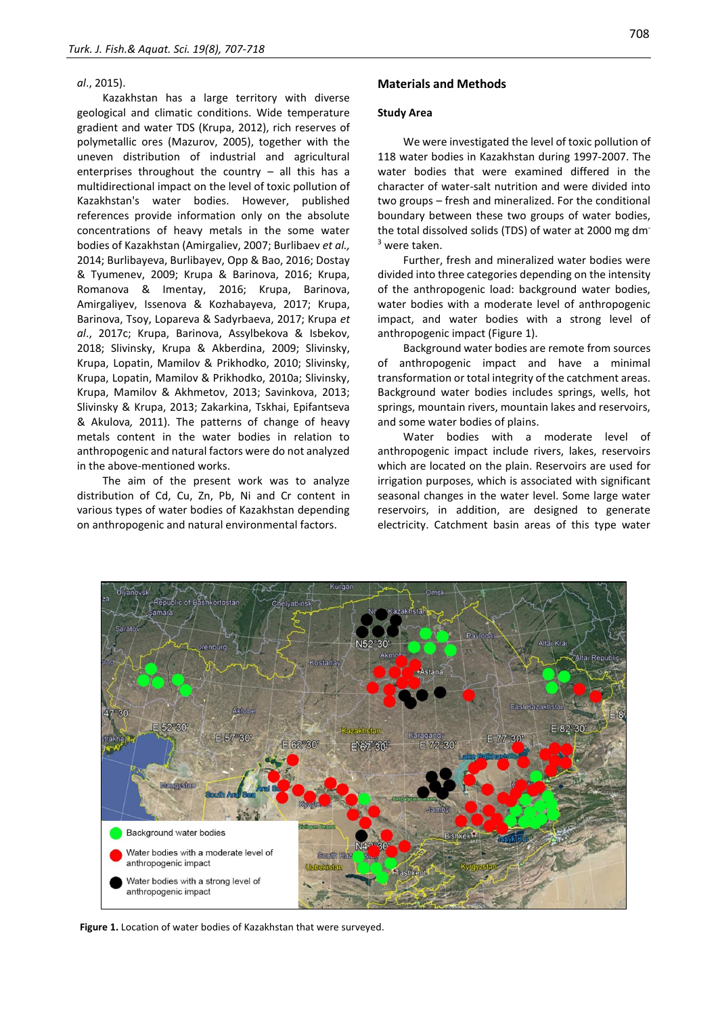# *al*., 2015).

Kazakhstan has a large territory with diverse geological and climatic conditions. Wide temperature gradient and water TDS (Krupa, 2012), rich reserves of polymetallic ores (Mazurov, 2005), together with the uneven distribution of industrial and agricultural enterprises throughout the country  $-$  all this has a multidirectional impact on the level of toxic pollution of Kazakhstan's water bodies. However, published references provide information only on the absolute concentrations of heavy metals in the some water bodies of Kazakhstan (Amirgaliev, 2007; Burlibaev *et al.,*  2014; Burlibayeva, Burlibayev, Opp & Bao, 2016; Dostay & Tyumenev, 2009; Krupa & Barinova, 2016; Krupa, Romanova & Imentay, 2016; Krupa, Barinova, Amirgaliyev, Issenova & Kozhabayeva, 2017; Krupa, Barinova, Tsoy, Lopareva & Sadyrbaeva, 2017; Krupa *et al*., 2017c; Krupa, Barinova, Assylbekova & Isbekov, 2018; Slivinsky, Krupa & Akberdina, 2009; Slivinsky, Krupa, Lopatin, Mamilov & Prikhodko, 2010; Slivinsky, Krupa, Lopatin, Mamilov & Prikhodko, 2010a; Slivinsky, Krupa, Mamilov & Akhmetov, 2013; Savinkova, 2013; Slivinsky & Krupa, 2013; Zakarkina, Tskhai, Epifantseva & Akulova*,* 2011). The patterns of change of heavy metals content in the water bodies in relation to anthropogenic and natural factors were do not analyzed in the above-mentioned works.

The aim of the present work was to analyze distribution of Cd, Cu, Zn, Pb, Ni and Cr content in various types of water bodies of Kazakhstan depending on anthropogenic and natural environmental factors.

# **Materials and Methods**

#### **Study Area**

We were investigated the level of toxic pollution of 118 water bodies in Kazakhstan during 1997-2007. The water bodies that were examined differed in the character of water-salt nutrition and were divided into two groups – fresh and mineralized. For the conditional boundary between these two groups of water bodies, the total dissolved solids (TDS) of water at 2000 mg dm-<sup>3</sup> were taken.

Further, fresh and mineralized water bodies were divided into three categories depending on the intensity of the anthropogenic load: background water bodies, water bodies with a moderate level of anthropogenic impact, and water bodies with a strong level of anthropogenic impact (Figure 1).

Background water bodies are remote from sources of anthropogenic impact and have a minimal transformation or total integrity of the catchment areas. Background water bodies includes springs, wells, hot springs, mountain rivers, mountain lakes and reservoirs, and some water bodies of plains.

Water bodies with a moderate level of anthropogenic impact include rivers, lakes, reservoirs which are located on the plain. Reservoirs are used for irrigation purposes, which is associated with significant seasonal changes in the water level. Some large water reservoirs, in addition, are designed to generate electricity. Catchment basin areas of this type water



**Figure 1.** Location of water bodies of Kazakhstan that were surveyed.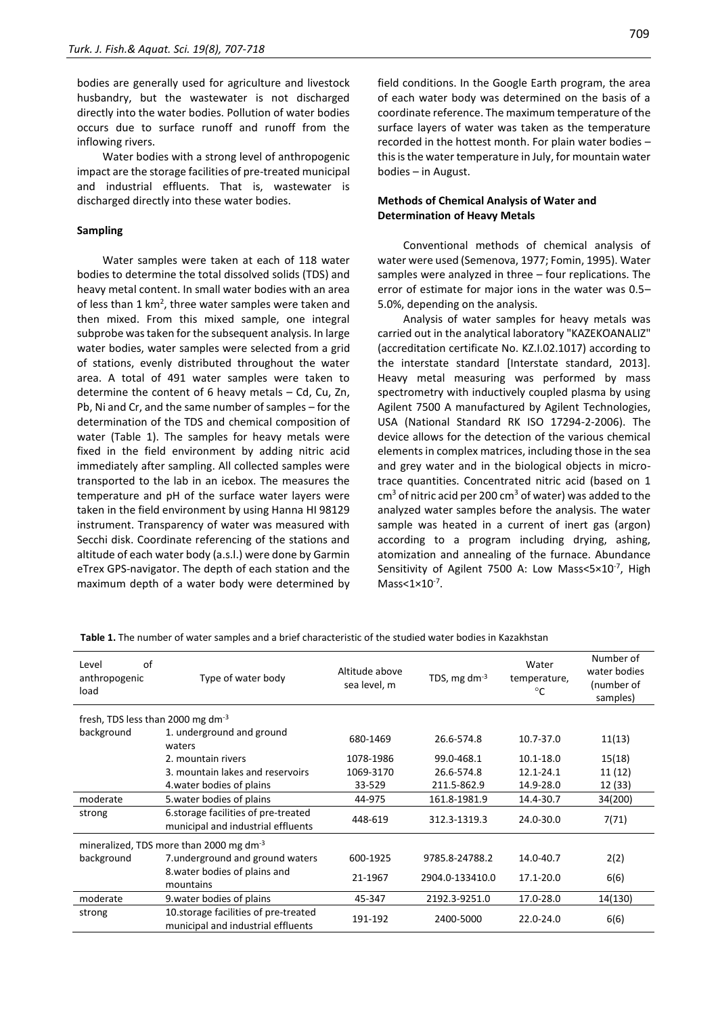bodies are generally used for agriculture and livestock husbandry, but the wastewater is not discharged directly into the water bodies. Pollution of water bodies occurs due to surface runoff and runoff from the inflowing rivers.

Water bodies with a strong level of anthropogenic impact are the storage facilities of pre-treated municipal and industrial effluents. That is, wastewater is discharged directly into these water bodies.

# **Sampling**

Water samples were taken at each of 118 water bodies to determine the total dissolved solids (TDS) and heavy metal content. In small water bodies with an area of less than 1 km<sup>2</sup>, three water samples were taken and then mixed. From this mixed sample, one integral subprobe was taken for the subsequent analysis. In large water bodies, water samples were selected from a grid of stations, evenly distributed throughout the water area. A total of 491 water samples were taken to determine the content of 6 heavy metals – Cd, Cu, Zn, Pb, Ni and Cr, and the same number of samples – for the determination of the TDS and chemical composition of water (Table 1). The samples for heavy metals were fixed in the field environment by adding nitric acid immediately after sampling. All collected samples were transported to the lab in an icebox. The measures the temperature and pH of the surface water layers were taken in the field environment by using Hanna HI 98129 instrument. Transparency of water was measured with Secchi disk. Coordinate referencing of the stations and altitude of each water body (a.s.l.) were done by Garmin eTrex GPS-navigator. The depth of each station and the maximum depth of a water body were determined by

field conditions. In the Google Earth program, the area of each water body was determined on the basis of a coordinate reference. The maximum temperature of the surface layers of water was taken as the temperature recorded in the hottest month. For plain water bodies – this is the water temperature in July, for mountain water bodies – in August.

# **Methods of Chemical Analysis of Water and Determination of Heavy Metals**

Conventional methods of chemical analysis of water were used (Semenova, 1977; Fomin, 1995). Water samples were analyzed in three – four replications. The error of estimate for major ions in the water was 0.5– 5.0%, depending on the analysis.

Analysis of water samples for heavy metals was carried out in the analytical laboratory "KAZEKOANALIZ" (accreditation certificate No. KZ.I.02.1017) according to the interstate standard [Interstate standard, 2013]. Heavy metal measuring was performed by mass spectrometry with inductively coupled plasma by using Agilent 7500 A manufactured by Agilent Technologies, USA (National Standard RK ISO 17294-2-2006). The device allows for the detection of the various chemical elements in complex matrices, including those in the sea and grey water and in the biological objects in microtrace quantities. Concentrated nitric acid (based on 1  $cm<sup>3</sup>$  of nitric acid per 200 cm<sup>3</sup> of water) was added to the analyzed water samples before the analysis. The water sample was heated in a current of inert gas (argon) according to a program including drying, ashing, atomization and annealing of the furnace. Abundance Sensitivity of Agilent 7500 A: Low Mass<5×10<sup>-7</sup>, High  $Mass < 1 \times 10^{-7}$ .

| of<br>Level<br>anthropogenic<br>load                | Type of water body                                                         | Altitude above<br>sea level, m | TDS, mg dm $^{-3}$ | Water<br>temperature,<br>°C | Number of<br>water bodies<br>(number of<br>samples) |  |  |
|-----------------------------------------------------|----------------------------------------------------------------------------|--------------------------------|--------------------|-----------------------------|-----------------------------------------------------|--|--|
| fresh, TDS less than 2000 mg dm <sup>-3</sup>       |                                                                            |                                |                    |                             |                                                     |  |  |
| background                                          | 1. underground and ground<br>waters                                        | 680-1469                       | 26.6-574.8         | 10.7-37.0                   | 11(13)                                              |  |  |
|                                                     | 2. mountain rivers                                                         | 1078-1986                      | 99.0-468.1         | 10.1-18.0                   | 15(18)                                              |  |  |
|                                                     | 3. mountain lakes and reservoirs                                           | 1069-3170                      | 26.6-574.8         | 12.1-24.1                   | 11(12)                                              |  |  |
|                                                     | 4. water bodies of plains                                                  | 33-529                         | 211.5-862.9        | 14.9-28.0                   | 12 (33)                                             |  |  |
| moderate                                            | 5. water bodies of plains                                                  | 44-975                         | 161.8-1981.9       | 14.4-30.7                   | 34(200)                                             |  |  |
| strong                                              | 6.storage facilities of pre-treated<br>municipal and industrial effluents  | 448-619                        | 312.3-1319.3       | 24.0-30.0                   | 7(71)                                               |  |  |
| mineralized, TDS more than 2000 mg dm <sup>-3</sup> |                                                                            |                                |                    |                             |                                                     |  |  |
| background                                          | 7. underground and ground waters                                           | 600-1925                       | 9785.8-24788.2     | 14.0-40.7                   | 2(2)                                                |  |  |
|                                                     | 8. water bodies of plains and<br>mountains                                 | 21-1967                        | 2904.0-133410.0    | 17.1-20.0                   | 6(6)                                                |  |  |
| moderate                                            | 9. water bodies of plains                                                  | 45-347                         | 2192.3-9251.0      | 17.0-28.0                   | 14(130)                                             |  |  |
| strong                                              | 10.storage facilities of pre-treated<br>municipal and industrial effluents | 191-192                        | 2400-5000          | 22.0-24.0                   | 6(6)                                                |  |  |

**Table 1.** The number of water samples and a brief characteristic of the studied water bodies in Kazakhstan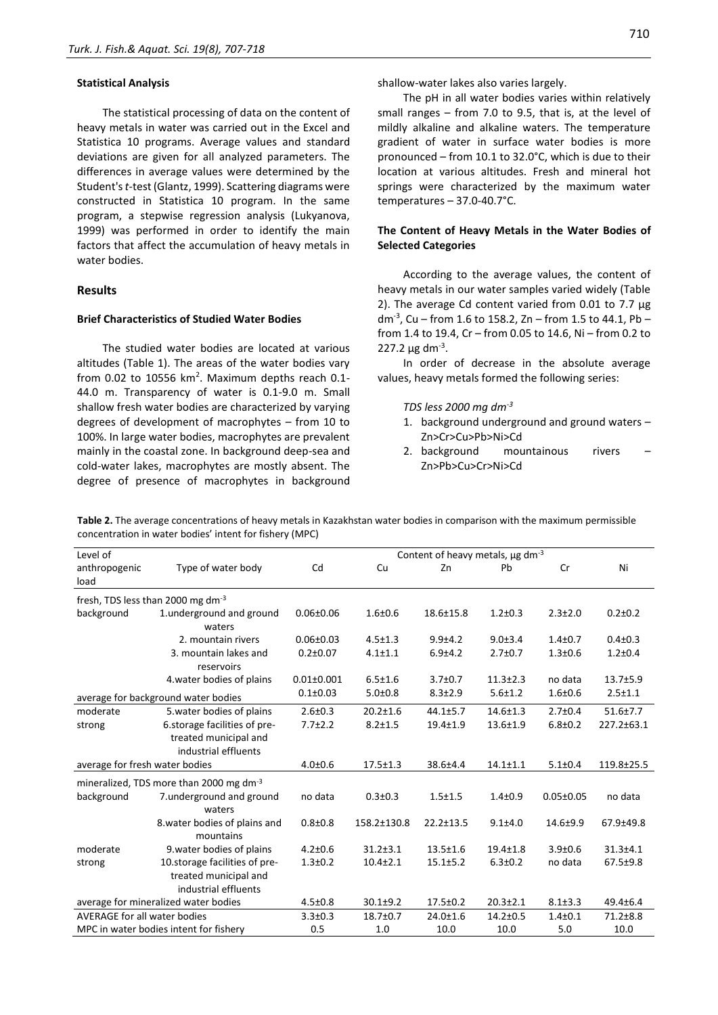#### **Statistical Analysis**

The statistical processing of data on the content of heavy metals in water was carried out in the Excel and Statistica 10 programs. Average values and standard deviations are given for all analyzed parameters. The differences in average values were determined by the Student's *t*-test (Glantz, 1999). Scattering diagrams were constructed in Statistica 10 program. In the same program, a stepwise regression analysis (Lukyanova, 1999) was performed in order to identify the main factors that affect the accumulation of heavy metals in water bodies.

# **Results**

#### **Brief Characteristics of Studied Water Bodies**

The studied water bodies are located at various altitudes (Table 1). The areas of the water bodies vary from 0.02 to 10556  $km^2$ . Maximum depths reach 0.1-44.0 m. Transparency of water is 0.1-9.0 m. Small shallow fresh water bodies are characterized by varying degrees of development of macrophytes – from 10 to 100%. In large water bodies, macrophytes are prevalent mainly in the coastal zone. In background deep-sea and cold-water lakes, macrophytes are mostly absent. The degree of presence of macrophytes in background shallow-water lakes also varies largely.

The pH in all water bodies varies within relatively small ranges – from 7.0 to 9.5, that is, at the level of mildly alkaline and alkaline waters. The temperature gradient of water in surface water bodies is more pronounced – from 10.1 to 32.0°C, which is due to their location at various altitudes. Fresh and mineral hot springs were characterized by the maximum water temperatures – 37.0-40.7°C.

# **The Content of Heavy Metals in the Water Bodies of Selected Categories**

According to the average values, the content of heavy metals in our water samples varied widely (Table 2). The average Cd content varied from 0.01 to 7.7 μg dm-3 , Cu – from 1.6 to 158.2, Zn – from 1.5 to 44.1, Pb – from 1.4 to 19.4, Cr – from 0.05 to 14.6, Ni – from 0.2 to 227.2 μg dm<sup>-3</sup>.

In order of decrease in the absolute average values, heavy metals formed the following series:

# *TDS less 2000 mg dm-3*

- 1. background underground and ground waters Zn>Cr>Cu>Pb>Ni>Cd
- 2. background mountainous rivers Zn>Pb>Cu>Cr>Ni>Cd

|                                                         | Table 2. The average concentrations of heavy metals in Kazakhstan water bodies in comparison with the maximum permissible |  |  |  |  |  |  |
|---------------------------------------------------------|---------------------------------------------------------------------------------------------------------------------------|--|--|--|--|--|--|
| concentration in water bodies' intent for fishery (MPC) |                                                                                                                           |  |  |  |  |  |  |
| Level of                                                | Content of heavy metals, $\mu$ g dm <sup>-3</sup>                                                                         |  |  |  |  |  |  |

| Level of                               |                                                                                | Content of heavy metals, ug dm <sup>-3</sup> |                |                 |                |                 |                |  |
|----------------------------------------|--------------------------------------------------------------------------------|----------------------------------------------|----------------|-----------------|----------------|-----------------|----------------|--|
| anthropogenic<br>load                  | Type of water body                                                             | Cd                                           | Cu             | Zn              | Pb             | Cr              | Ni             |  |
|                                        | fresh, TDS less than 2000 mg dm <sup>-3</sup>                                  |                                              |                |                 |                |                 |                |  |
| background                             | 1.underground and ground<br>waters                                             | $0.06 \pm 0.06$                              | $1.6 + 0.6$    | 18.6±15.8       | $1.2 \pm 0.3$  | $2.3 \pm 2.0$   | $0.2 + 0.2$    |  |
|                                        | 2. mountain rivers                                                             | $0.06 \pm 0.03$                              | $4.5 \pm 1.3$  | $9.9 + 4.2$     | $9.0 + 3.4$    | $1.4 + 0.7$     | $0.4 + 0.3$    |  |
|                                        | 3. mountain lakes and<br>reservoirs                                            | $0.2 \pm 0.07$                               | $4.1 \pm 1.1$  | $6.9{\pm}4.2$   | $2.7 \pm 0.7$  | $1.3 + 0.6$     | $1.2 + 0.4$    |  |
|                                        | 4. water bodies of plains                                                      | $0.01 \pm 0.001$                             | $6.5 \pm 1.6$  | $3.7 \pm 0.7$   | $11.3 \pm 2.3$ | no data         | $13.7 + 5.9$   |  |
|                                        | average for background water bodies                                            | $0.1 \pm 0.03$                               | 5.0 ± 0.8      | $8.3 \pm 2.9$   | $5.6 \pm 1.2$  | $1.6 + 0.6$     | $2.5 + 1.1$    |  |
| moderate                               | 5. water bodies of plains                                                      | $2.6 \pm 0.3$                                | $20.2 \pm 1.6$ | $44.1 \pm 5.7$  | $14.6 \pm 1.3$ | $2.7 \pm 0.4$   | $51.6{\pm}7.7$ |  |
| strong                                 | 6.storage facilities of pre-                                                   | $7.7 \pm 2.2$                                | $8.2 + 1.5$    | $19.4 \pm 1.9$  | $13.6 \pm 1.9$ | $6.8 \pm 0.2$   | 227.2±63.1     |  |
|                                        | treated municipal and<br>industrial effluents                                  |                                              |                |                 |                |                 |                |  |
| average for fresh water bodies         |                                                                                | $4.0 + 0.6$                                  | $17.5 \pm 1.3$ | 38.6±4.4        | $14.1 \pm 1.1$ | $5.1 \pm 0.4$   | 119.8±25.5     |  |
|                                        | mineralized, TDS more than 2000 mg dm <sup>-3</sup>                            |                                              |                |                 |                |                 |                |  |
| background                             | 7.underground and ground<br>waters                                             | no data                                      | $0.3 \pm 0.3$  | $1.5 + 1.5$     | $1.4 + 0.9$    | $0.05 \pm 0.05$ | no data        |  |
|                                        | 8. water bodies of plains and<br>mountains                                     | $0.8 + 0.8$                                  | 158.2±130.8    | $22.2 \pm 13.5$ | $9.1 + 4.0$    | 14.6±9.9        | 67.9±49.8      |  |
| moderate                               | 9. water bodies of plains                                                      | $4.2 \pm 0.6$                                | $31.2 \pm 3.1$ | $13.5 \pm 1.6$  | $19.4 \pm 1.8$ | $3.9 + 0.6$     | $31.3 + 4.1$   |  |
| strong                                 | 10.storage facilities of pre-<br>treated municipal and<br>industrial effluents | $1.3 \pm 0.2$                                | $10.4 \pm 2.1$ | $15.1 \pm 5.2$  | $6.3 \pm 0.2$  | no data         | $67.5 + 9.8$   |  |
| average for mineralized water bodies   |                                                                                | $4.5 \pm 0.8$                                | $30.1 + 9.2$   | $17.5 \pm 0.2$  | $20.3 \pm 2.1$ | $8.1 \pm 3.3$   | $49.4 \pm 6.4$ |  |
| AVERAGE for all water bodies           |                                                                                | $3.3 \pm 0.3$                                | $18.7 \pm 0.7$ | $24.0 \pm 1.6$  | $14.2 \pm 0.5$ | $1.4 + 0.1$     | $71.2 \pm 8.8$ |  |
| MPC in water bodies intent for fishery |                                                                                | 0.5                                          | 1.0            | 10.0            | 10.0           | 5.0             | 10.0           |  |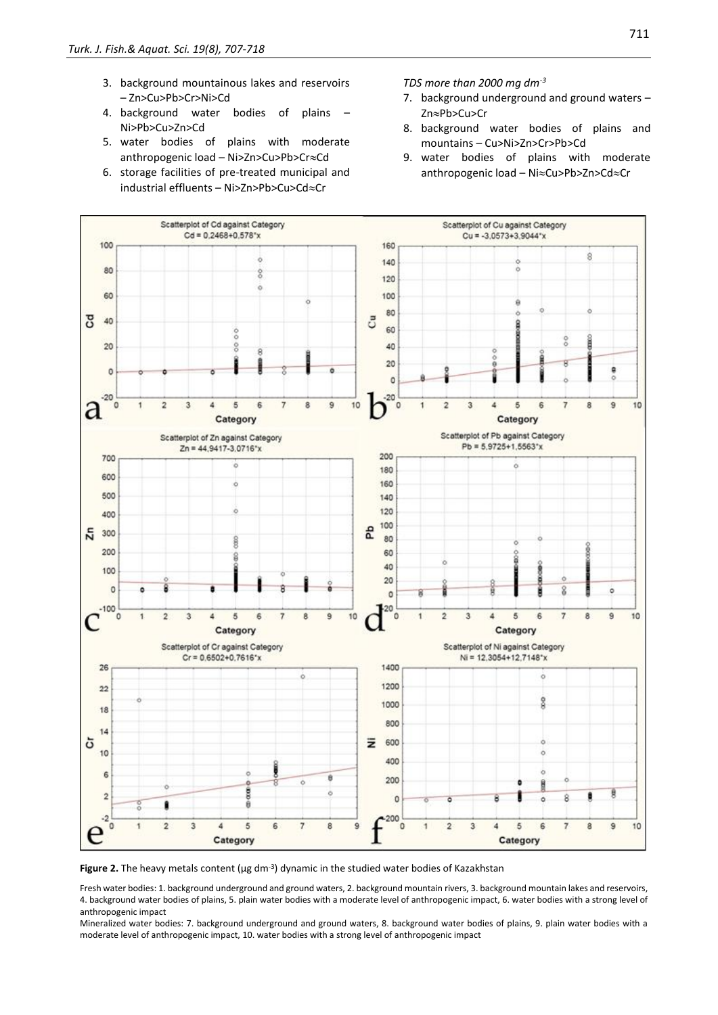- 3. background mountainous lakes and reservoirs – Zn>Cu>Pb>Cr>Ni>Cd
- 4. background water bodies of plains Ni>Pb>Cu>Zn>Cd
- 5. water bodies of plains with moderate anthropogenic load - Ni>Zn>Cu>Pb>Cr≈Cd
- 6. storage facilities of pre-treated municipal and industrial effluents - Ni>Zn>Pb>Cu>Cd≈Cr

*TDS more than 2000 mg dm-3*

- 7. background underground and ground waters Zn≈Pb>Cu>Cr
- 8. background water bodies of plains and mountains – Cu>Ni>Zn>Cr>Pb>Cd
- 9. water bodies of plains with moderate anthropogenic load - Ni≈Cu>Pb>Zn>Cd≈Cr



**Figure 2.** The heavy metals content (μg dm-3 ) dynamic in the studied water bodies of Kazakhstan

Fresh water bodies: 1. background underground and ground waters, 2. background mountain rivers, 3. background mountain lakes and reservoirs, 4. background water bodies of plains, 5. plain water bodies with a moderate level of anthropogenic impact, 6. water bodies with a strong level of anthropogenic impact

Mineralized water bodies: 7. background underground and ground waters, 8. background water bodies of plains, 9. plain water bodies with a moderate level of anthropogenic impact, 10. water bodies with a strong level of anthropogenic impact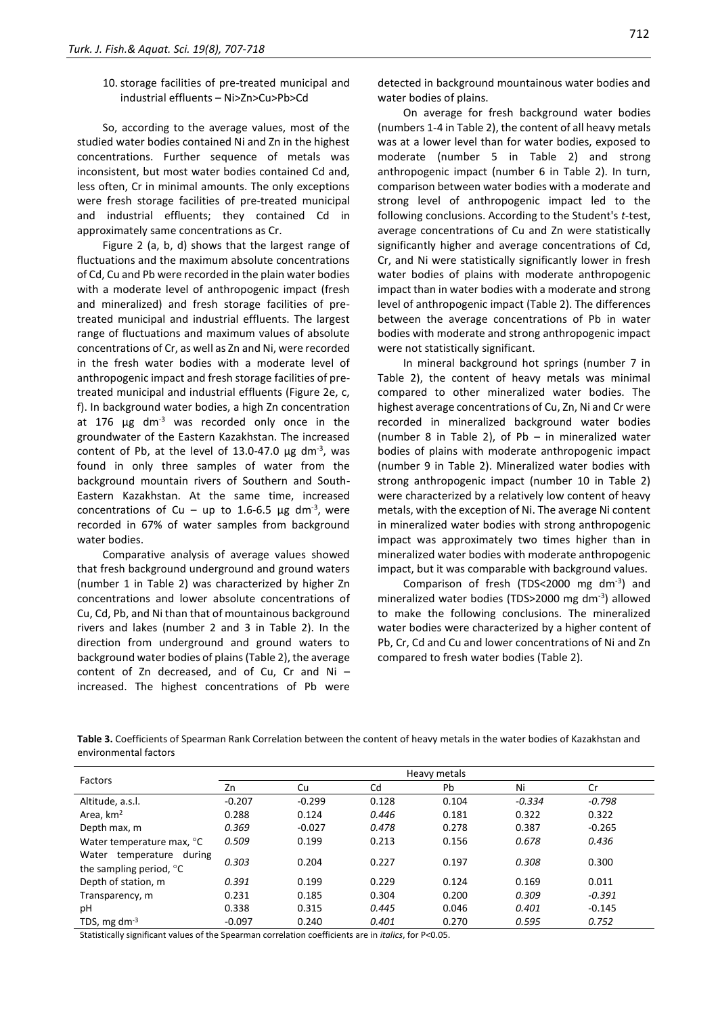10. storage facilities of pre-treated municipal and industrial effluents – Ni>Zn>Cu>Pb>Cd

So, according to the average values, most of the studied water bodies contained Ni and Zn in the highest concentrations. Further sequence of metals was inconsistent, but most water bodies contained Cd and, less often, Cr in minimal amounts. The only exceptions were fresh storage facilities of pre-treated municipal and industrial effluents; they contained Cd in approximately same concentrations as Cr.

Figure 2 (a, b, d) shows that the largest range of fluctuations and the maximum absolute concentrations of Cd, Cu and Pb were recorded in the plain water bodies with a moderate level of anthropogenic impact (fresh and mineralized) and fresh storage facilities of pretreated municipal and industrial effluents. The largest range of fluctuations and maximum values of absolute concentrations of Cr, as well as Zn and Ni, were recorded in the fresh water bodies with a moderate level of anthropogenic impact and fresh storage facilities of pretreated municipal and industrial effluents (Figure 2e, c, f). In background water bodies, a high Zn concentration at 176  $\mu$ g dm<sup>-3</sup> was recorded only once in the groundwater of the Eastern Kazakhstan. The increased content of Pb, at the level of 13.0-47.0  $\mu$ g dm<sup>-3</sup>, was found in only three samples of water from the background mountain rivers of Southern and South-Eastern Kazakhstan. At the same time, increased concentrations of Cu – up to 1.6-6.5  $\mu$ g dm<sup>-3</sup>, were recorded in 67% of water samples from background water bodies.

Comparative analysis of average values showed that fresh background underground and ground waters (number 1 in Table 2) was characterized by higher Zn concentrations and lower absolute concentrations of Cu, Cd, Pb, and Ni than that of mountainous background rivers and lakes (number 2 and 3 in Table 2). In the direction from underground and ground waters to background water bodies of plains (Table 2), the average content of Zn decreased, and of Cu, Cr and Ni – increased. The highest concentrations of Pb were detected in background mountainous water bodies and water bodies of plains.

On average for fresh background water bodies (numbers 1-4 in Table 2), the content of all heavy metals was at a lower level than for water bodies, exposed to moderate (number 5 in Table 2) and strong anthropogenic impact (number 6 in Table 2). In turn, comparison between water bodies with a moderate and strong level of anthropogenic impact led to the following conclusions. According to the Student's *t*-test, average concentrations of Cu and Zn were statistically significantly higher and average concentrations of Cd, Cr, and Ni were statistically significantly lower in fresh water bodies of plains with moderate anthropogenic impact than in water bodies with a moderate and strong level of anthropogenic impact (Table 2). The differences between the average concentrations of Pb in water bodies with moderate and strong anthropogenic impact were not statistically significant.

In mineral background hot springs (number 7 in Table 2), the content of heavy metals was minimal compared to other mineralized water bodies. The highest average concentrations of Cu, Zn, Ni and Cr were recorded in mineralized background water bodies (number 8 in Table 2), of Pb – in mineralized water bodies of plains with moderate anthropogenic impact (number 9 in Table 2). Mineralized water bodies with strong anthropogenic impact (number 10 in Table 2) were characterized by a relatively low content of heavy metals, with the exception of Ni. The average Ni content in mineralized water bodies with strong anthropogenic impact was approximately two times higher than in mineralized water bodies with moderate anthropogenic impact, but it was comparable with background values.

Comparison of fresh (TDS<2000 mg dm<sup>-3</sup>) and mineralized water bodies (TDS>2000 mg dm-3 ) allowed to make the following conclusions. The mineralized water bodies were characterized by a higher content of Pb, Cr, Cd and Cu and lower concentrations of Ni and Zn compared to fresh water bodies (Table 2).

**Table 3.** Coefficients of Spearman Rank Correlation between the content of heavy metals in the water bodies of Kazakhstan and environmental factors

|                                                           | Heavy metals |          |       |       |          |          |  |
|-----------------------------------------------------------|--------------|----------|-------|-------|----------|----------|--|
| Factors                                                   | Zn           | Cu       | Cd    | Pb    | Ni       | Cr       |  |
| Altitude, a.s.l.                                          | $-0.207$     | $-0.299$ | 0.128 | 0.104 | $-0.334$ | $-0.798$ |  |
| Area, km <sup>2</sup>                                     | 0.288        | 0.124    | 0.446 | 0.181 | 0.322    | 0.322    |  |
| Depth max, m                                              | 0.369        | $-0.027$ | 0.478 | 0.278 | 0.387    | $-0.265$ |  |
| Water temperature max, °C                                 | 0.509        | 0.199    | 0.213 | 0.156 | 0.678    | 0.436    |  |
| during<br>Water<br>temperature<br>the sampling period, °C | 0.303        | 0.204    | 0.227 | 0.197 | 0.308    | 0.300    |  |
| Depth of station, m                                       | 0.391        | 0.199    | 0.229 | 0.124 | 0.169    | 0.011    |  |
| Transparency, m                                           | 0.231        | 0.185    | 0.304 | 0.200 | 0.309    | -0.391   |  |
| pH                                                        | 0.338        | 0.315    | 0.445 | 0.046 | 0.401    | $-0.145$ |  |
| TDS, mg dm $^{-3}$                                        | $-0.097$     | 0.240    | 0.401 | 0.270 | 0.595    | 0.752    |  |

Statistically significant values of the Spearman correlation coefficients are in *italics*, for P<0.05.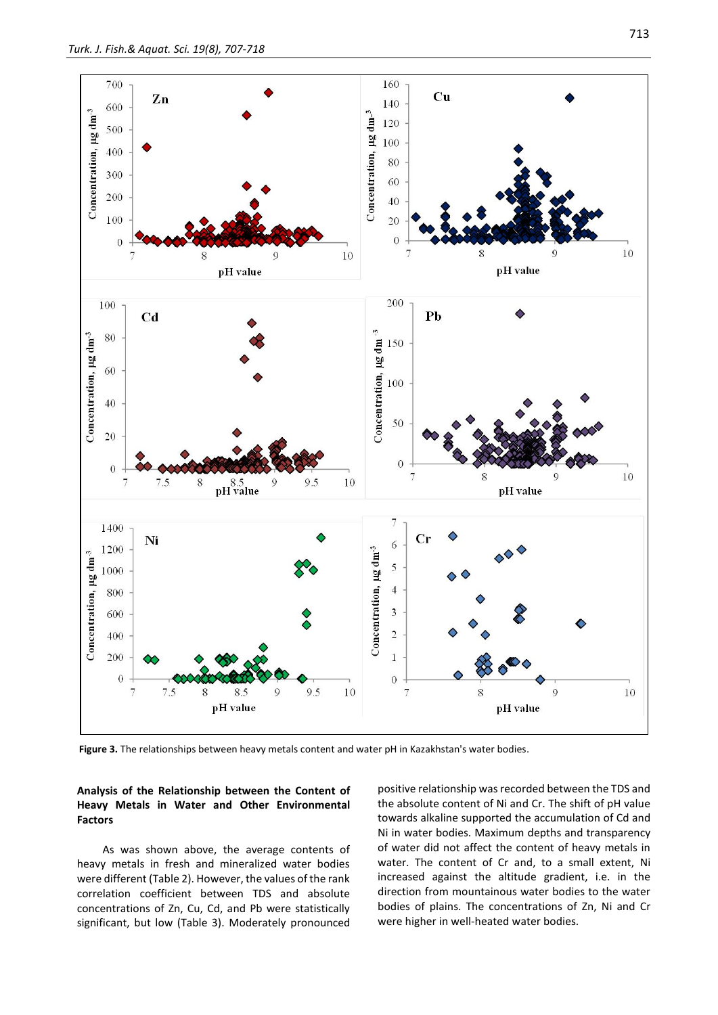

**Figure 3.** The relationships between heavy metals content and water pH in Kazakhstan's water bodies.

# **Analysis of the Relationship between the Content of Heavy Metals in Water and Other Environmental Factors**

As was shown above, the average contents of heavy metals in fresh and mineralized water bodies were different (Table 2). However, the values of the rank correlation coefficient between TDS and absolute concentrations of Zn, Cu, Cd, and Pb were statistically significant, but low (Table 3). Moderately pronounced positive relationship was recorded between the TDS and the absolute content of Ni and Cr. The shift of pH value towards alkaline supported the accumulation of Cd and Ni in water bodies. Maximum depths and transparency of water did not affect the content of heavy metals in water. The content of Cr and, to a small extent, Ni increased against the altitude gradient, i.e. in the direction from mountainous water bodies to the water bodies of plains. The concentrations of Zn, Ni and Cr were higher in well-heated water bodies.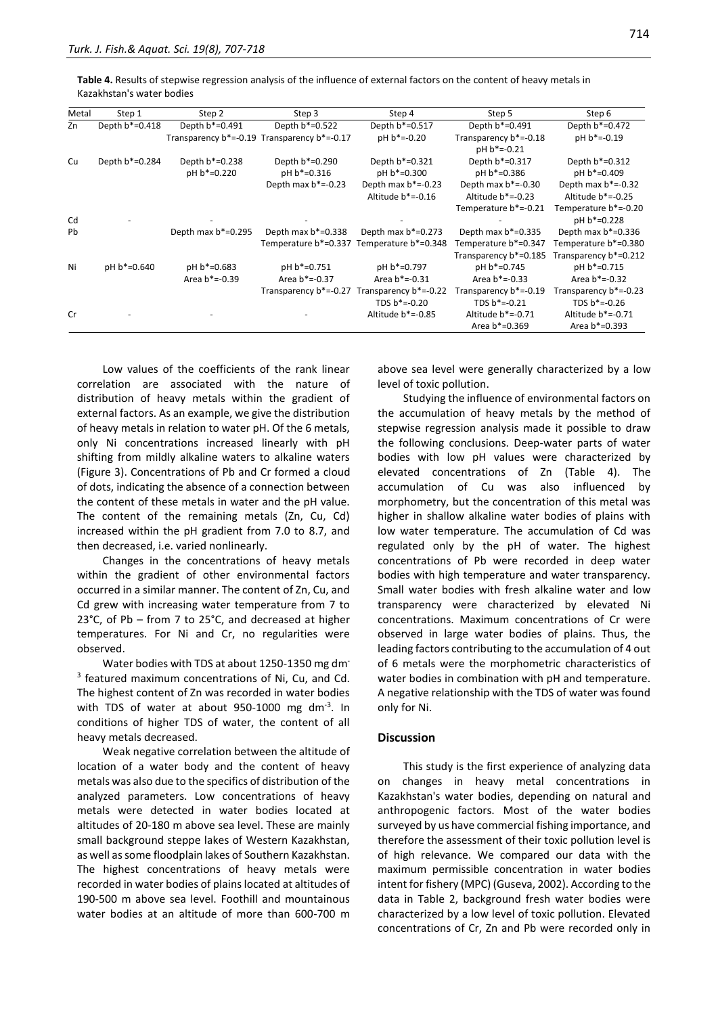| <b>Table 4.</b> Results of stepwise regression analysis of the influence of external factors on the content of heavy metals in |
|--------------------------------------------------------------------------------------------------------------------------------|
| Kazakhstan's water bodies                                                                                                      |

| Metal | Step 1         | Step 2                | Step 3                  | Step 4                  | Step 5                  | Step 6                  |
|-------|----------------|-----------------------|-------------------------|-------------------------|-------------------------|-------------------------|
| Zn    | Depth b*=0.418 | Depth b*=0.491        | Depth b*=0.522          | Depth b*=0.517          | Depth b*=0.491          | Depth b*=0.472          |
|       |                | Transparency b*=-0.19 | Transparency b*=-0.17   | $pH b*=-0.20$           | Transparency b*=-0.18   | pH b*=-0.19             |
|       |                |                       |                         |                         | $pH b*=-0.21$           |                         |
| Cu    | Depth b*=0.284 | Depth b*=0.238        | Depth b*=0.290          | Depth b*=0.321          | Depth b*=0.317          | Depth b*=0.312          |
|       |                | pH b*=0.220           | pH b*=0.316             | pH b*=0.300             | pH b*=0.386             | pH b*=0.409             |
|       |                |                       | Depth max $b^* = -0.23$ | Depth max $b^* = -0.23$ | Depth max $b^* = -0.30$ | Depth max $b^* = -0.32$ |
|       |                |                       |                         | Altitude b*=-0.16       | Altitude b*=-0.23       | Altitude $b^* = -0.25$  |
|       |                |                       |                         |                         | Temperature b*=-0.21    | Temperature b*=-0.20    |
| Cd    |                |                       |                         |                         |                         | pH b*=0.228             |
| Pb    |                | Depth max $b*=0.295$  | Depth max $b^* = 0.338$ | Depth max $b*=0.273$    | Depth max $b*=0.335$    | Depth max $b^* = 0.336$ |
|       |                |                       | Temperature b*=0.337    | Temperature b*=0.348    | Temperature b*=0.347    | Temperature b*=0.380    |
|       |                |                       |                         |                         | Transparency b*=0.185   | Transparency b*=0.212   |
| Ni    | pH b*=0.640    | pH b*=0.683           | pH b*=0.751             | pH b*=0.797             | pH b*=0.745             | pH b*=0.715             |
|       |                | Area b*=-0.39         | Area $b^* = -0.37$      | Area $b^* = -0.31$      | Area $b^* = -0.33$      | Area $b^* = -0.32$      |
|       |                |                       | Transparency b*=-0.27   | Transparency b*=-0.22   | Transparency b*=-0.19   | Transparency b*=-0.23   |
|       |                |                       |                         | TDS $b^* = -0.20$       | TDS $b^* = -0.21$       | TDS $b^* = -0.26$       |
| Cr    |                |                       |                         | Altitude $b^* = -0.85$  | Altitude $b^* = -0.71$  | Altitude $b^* = -0.71$  |
|       |                |                       |                         |                         | Area $b^* = 0.369$      | Area $b* = 0.393$       |

Low values of the coefficients of the rank linear correlation are associated with the nature of distribution of heavy metals within the gradient of external factors. As an example, we give the distribution of heavy metals in relation to water pH. Of the 6 metals, only Ni concentrations increased linearly with pH shifting from mildly alkaline waters to alkaline waters (Figure 3). Concentrations of Pb and Cr formed a cloud of dots, indicating the absence of a connection between the content of these metals in water and the pH value. The content of the remaining metals (Zn, Cu, Cd) increased within the pH gradient from 7.0 to 8.7, and then decreased, i.e. varied nonlinearly.

Changes in the concentrations of heavy metals within the gradient of other environmental factors occurred in a similar manner. The content of Zn, Cu, and Cd grew with increasing water temperature from 7 to 23°C, of Pb – from 7 to 25°C, and decreased at higher temperatures. For Ni and Cr, no regularities were observed.

Water bodies with TDS at about 1250-1350 mg dm-<sup>3</sup> featured maximum concentrations of Ni, Cu, and Cd. The highest content of Zn was recorded in water bodies with TDS of water at about 950-1000 mg dm<sup>-3</sup>. In conditions of higher TDS of water, the content of all heavy metals decreased.

Weak negative correlation between the altitude of location of a water body and the content of heavy metals was also due to the specifics of distribution of the analyzed parameters. Low concentrations of heavy metals were detected in water bodies located at altitudes of 20-180 m above sea level. These are mainly small background steppe lakes of Western Kazakhstan, as well as some floodplain lakes of Southern Kazakhstan. The highest concentrations of heavy metals were recorded in water bodies of plains located at altitudes of 190-500 m above sea level. Foothill and mountainous water bodies at an altitude of more than 600-700 m above sea level were generally characterized by a low level of toxic pollution.

Studying the influence of environmental factors on the accumulation of heavy metals by the method of stepwise regression analysis made it possible to draw the following conclusions. Deep-water parts of water bodies with low pH values were characterized by elevated concentrations of Zn (Table 4). The accumulation of Cu was also influenced by morphometry, but the concentration of this metal was higher in shallow alkaline water bodies of plains with low water temperature. The accumulation of Cd was regulated only by the pH of water. The highest concentrations of Pb were recorded in deep water bodies with high temperature and water transparency. Small water bodies with fresh alkaline water and low transparency were characterized by elevated Ni concentrations. Maximum concentrations of Cr were observed in large water bodies of plains. Thus, the leading factors contributing to the accumulation of 4 out of 6 metals were the morphometric characteristics of water bodies in combination with pH and temperature. A negative relationship with the TDS of water was found only for Ni.

#### **Discussion**

This study is the first experience of analyzing data on changes in heavy metal concentrations in Kazakhstan's water bodies, depending on natural and anthropogenic factors. Most of the water bodies surveyed by us have commercial fishing importance, and therefore the assessment of their toxic pollution level is of high relevance. We compared our data with the maximum permissible concentration in water bodies intent for fishery (MPC) (Guseva, 2002). According to the data in Table 2, background fresh water bodies were characterized by a low level of toxic pollution. Elevated concentrations of Cr, Zn and Pb were recorded only in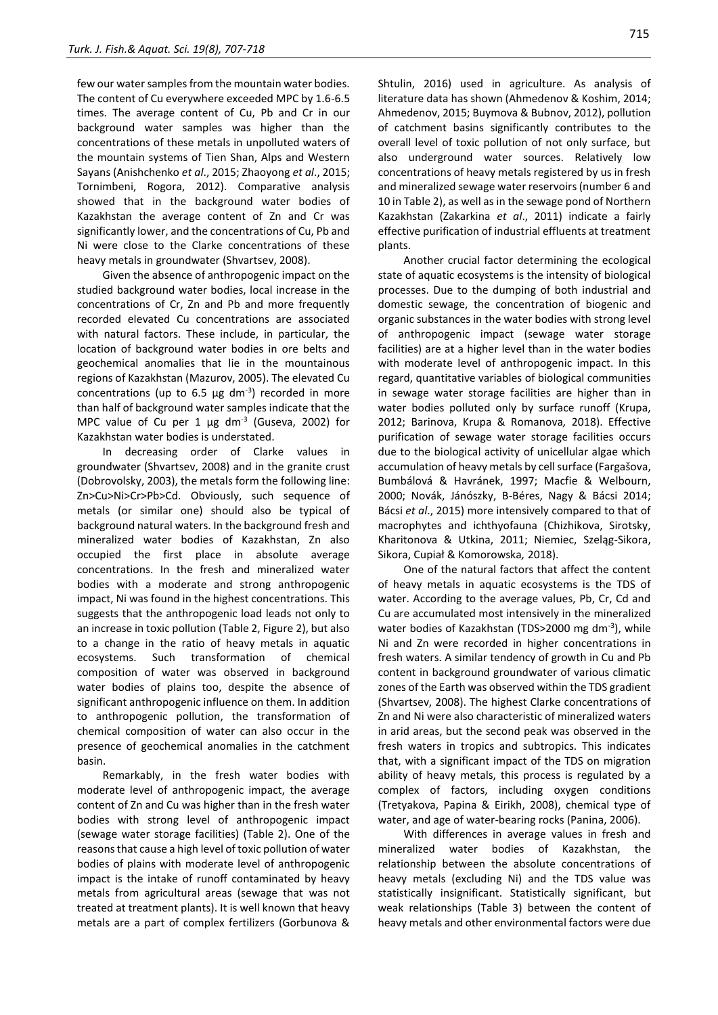few our water samples from the mountain water bodies. The content of Cu everywhere exceeded MPC by 1.6-6.5 times. The average content of Cu, Pb and Cr in our background water samples was higher than the concentrations of these metals in unpolluted waters of the mountain systems of Tien Shan, Alps and Western Sayans (Anishchenko *et al*., 2015; Zhaoyong *et al*., 2015; Tornimbeni, Rogora, 2012). Comparative analysis showed that in the background water bodies of Kazakhstan the average content of Zn and Cr was significantly lower, and the concentrations of Cu, Pb and Ni were close to the Clarke concentrations of these heavy metals in groundwater (Shvartsev, 2008).

Given the absence of anthropogenic impact on the studied background water bodies, local increase in the concentrations of Cr, Zn and Pb and more frequently recorded elevated Cu concentrations are associated with natural factors. These include, in particular, the location of background water bodies in ore belts and geochemical anomalies that lie in the mountainous regions of Kazakhstan (Mazurov, 2005). The elevated Cu concentrations (up to 6.5  $\mu$ g dm<sup>-3</sup>) recorded in more than half of background water samples indicate that the MPC value of Cu per 1  $\mu$ g dm<sup>-3</sup> (Guseva, 2002) for Kazakhstan water bodies is understated.

In decreasing order of Clarke values in groundwater (Shvartsev, 2008) and in the granite crust (Dobrovolsky, 2003), the metals form the following line: Zn>Cu>Ni>Cr>Pb>Cd. Obviously, such sequence of metals (or similar one) should also be typical of background natural waters. In the background fresh and mineralized water bodies of Kazakhstan, Zn also occupied the first place in absolute average concentrations. In the fresh and mineralized water bodies with a moderate and strong anthropogenic impact, Ni was found in the highest concentrations. This suggests that the anthropogenic load leads not only to an increase in toxic pollution (Table 2, Figure 2), but also to a change in the ratio of heavy metals in aquatic ecosystems. Such transformation of chemical composition of water was observed in background water bodies of plains too, despite the absence of significant anthropogenic influence on them. In addition to anthropogenic pollution, the transformation of chemical composition of water can also occur in the presence of geochemical anomalies in the catchment basin.

Remarkably, in the fresh water bodies with moderate level of anthropogenic impact, the average content of Zn and Cu was higher than in the fresh water bodies with strong level of anthropogenic impact (sewage water storage facilities) (Table 2). One of the reasons that cause a high level of toxic pollution of water bodies of plains with moderate level of anthropogenic impact is the intake of runoff contaminated by heavy metals from agricultural areas (sewage that was not treated at treatment plants). It is well known that heavy metals are a part of complex fertilizers (Gorbunova & Shtulin, 2016) used in agriculture. As analysis of literature data has shown (Ahmedenov & Koshim, 2014; Ahmedenov, 2015; Buymova & Bubnov, 2012), pollution of catchment basins significantly contributes to the overall level of toxic pollution of not only surface, but also underground water sources. Relatively low concentrations of heavy metals registered by us in fresh and mineralized sewage water reservoirs (number 6 and 10 in Table 2), as well as in the sewage pond of Northern Kazakhstan (Zakarkina *et al*., 2011) indicate a fairly effective purification of industrial effluents at treatment plants.

Another crucial factor determining the ecological state of aquatic ecosystems is the intensity of biological processes. Due to the dumping of both industrial and domestic sewage, the concentration of biogenic and organic substances in the water bodies with strong level of anthropogenic impact (sewage water storage facilities) are at a higher level than in the water bodies with moderate level of anthropogenic impact. In this regard, quantitative variables of biological communities in sewage water storage facilities are higher than in water bodies polluted only by surface runoff (Krupa, 2012; Barinova, Krupa & Romanova*,* 2018). Effective purification of sewage water storage facilities occurs due to the biological activity of unicellular algae which accumulation of heavy metals by cell surface (Fargašova, Bumbálová & Havránek, 1997; Macfie & Welbourn, 2000; Novák, Jánószky, B-Béres, Nagy & Bácsi 2014; Bácsi *et al*., 2015) more intensively compared to that of macrophytes and ichthyofauna (Chizhikova, Sirotsky, Kharitonova & Utkina, 2011; Niemiec, Szeląg-Sikora, Sikora, Cupiał & Komorowska*,* 2018).

One of the natural factors that affect the content of heavy metals in aquatic ecosystems is the TDS of water. According to the average values, Pb, Cr, Cd and Cu are accumulated most intensively in the mineralized water bodies of Kazakhstan (TDS>2000 mg dm<sup>-3</sup>), while Ni and Zn were recorded in higher concentrations in fresh waters. A similar tendency of growth in Cu and Pb content in background groundwater of various climatic zones of the Earth was observed within the TDS gradient (Shvartsev, 2008). The highest Clarke concentrations of Zn and Ni were also characteristic of mineralized waters in arid areas, but the second peak was observed in the fresh waters in tropics and subtropics. This indicates that, with a significant impact of the TDS on migration ability of heavy metals, this process is regulated by a complex of factors, including oxygen conditions (Tretyakova, Papina & Eirikh, 2008), chemical type of water, and age of water-bearing rocks (Panina, 2006).

With differences in average values in fresh and mineralized water bodies of Kazakhstan, the relationship between the absolute concentrations of heavy metals (excluding Ni) and the TDS value was statistically insignificant. Statistically significant, but weak relationships (Table 3) between the content of heavy metals and other environmental factors were due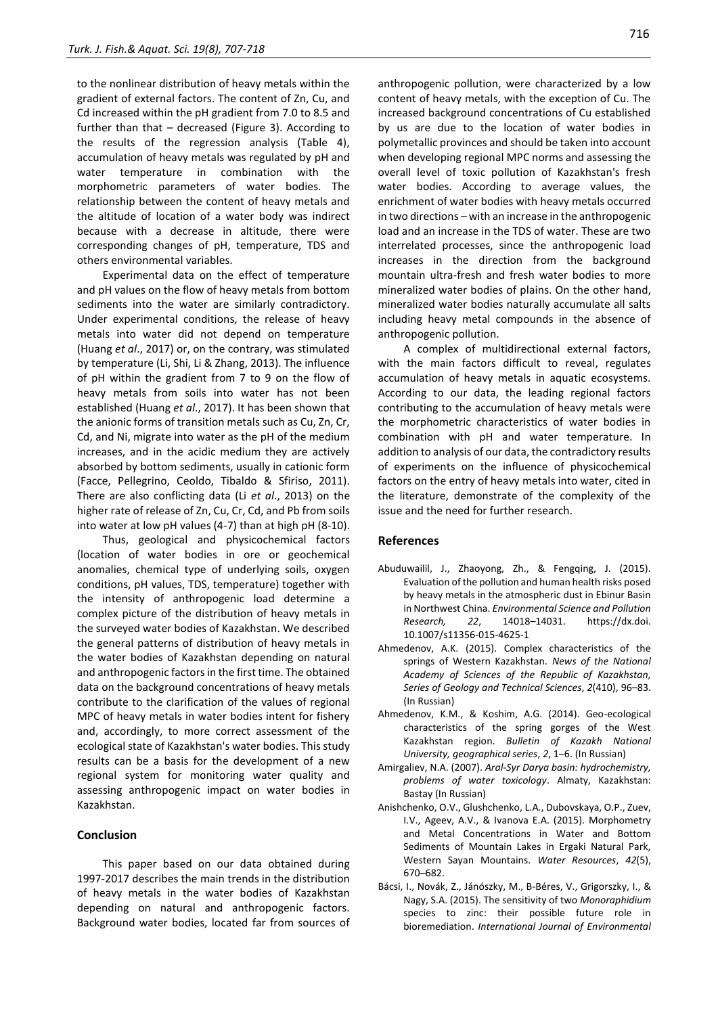to the nonlinear distribution of heavy metals within the gradient of external factors. The content of Zn, Cu, and Cd increased within the pH gradient from 7.0 to 8.5 and further than that – decreased (Figure 3). According to the results of the regression analysis (Table 4), accumulation of heavy metals was regulated by pH and water temperature in combination with the morphometric parameters of water bodies. The relationship between the content of heavy metals and the altitude of location of a water body was indirect because with a decrease in altitude, there were corresponding changes of pH, temperature, TDS and others environmental variables.

Experimental data on the effect of temperature and pH values on the flow of heavy metals from bottom sediments into the water are similarly contradictory. Under experimental conditions, the release of heavy metals into water did not depend on temperature (Huang *et al*., 2017) or, on the contrary, was stimulated by temperature (Li, Shi, Li & Zhang, 2013). The influence of pH within the gradient from 7 to 9 on the flow of heavy metals from soils into water has not been established (Huang *et al*., 2017). It has been shown that the anionic forms of transition metals such as Cu, Zn, Cr, Cd, and Ni, migrate into water as the pH of the medium increases, and in the acidic medium they are actively absorbed by bottom sediments, usually in cationic form (Facce, Pellegrino, Ceoldo, Tibaldo & Sfiriso, 2011). There are also conflicting data (Li *et al*., 2013) on the higher rate of release of Zn, Cu, Cr, Cd, and Pb from soils into water at low pH values (4-7) than at high pH (8-10).

Thus, geological and physicochemical factors (location of water bodies in ore or geochemical anomalies, chemical type of underlying soils, oxygen conditions, pH values, TDS, temperature) together with the intensity of anthropogenic load determine a complex picture of the distribution of heavy metals in the surveyed water bodies of Kazakhstan. We described the general patterns of distribution of heavy metals in the water bodies of Kazakhstan depending on natural and anthropogenic factors in the first time. The obtained data on the background concentrations of heavy metals contribute to the clarification of the values of regional MPC of heavy metals in water bodies intent for fishery and, accordingly, to more correct assessment of the ecological state of Kazakhstan's water bodies. This study results can be a basis for the development of a new regional system for monitoring water quality and assessing anthropogenic impact on water bodies in Kazakhstan.

# **Conclusion**

This paper based on our data obtained during 1997-2017 describes the main trends in the distribution of heavy metals in the water bodies of Kazakhstan depending on natural and anthropogenic factors. Background water bodies, located far from sources of anthropogenic pollution, were characterized by a low content of heavy metals, with the exception of Cu. The increased background concentrations of Cu established by us are due to the location of water bodies in polymetallic provinces and should be taken into account when developing regional MPC norms and assessing the overall level of toxic pollution of Kazakhstan's fresh water bodies. According to average values, the enrichment of water bodies with heavy metals occurred in two directions – with an increase in the anthropogenic load and an increase in the TDS of water. These are two interrelated processes, since the anthropogenic load increases in the direction from the background mountain ultra-fresh and fresh water bodies to more mineralized water bodies of plains. On the other hand, mineralized water bodies naturally accumulate all salts including heavy metal compounds in the absence of anthropogenic pollution.

A complex of multidirectional external factors, with the main factors difficult to reveal, regulates accumulation of heavy metals in aquatic ecosystems. According to our data, the leading regional factors contributing to the accumulation of heavy metals were the morphometric characteristics of water bodies in combination with pH and water temperature. In addition to analysis of our data, the contradictory results of experiments on the influence of physicochemical factors on the entry of heavy metals into water, cited in the literature, demonstrate of the complexity of the issue and the need for further research.

#### **References**

- Abuduwailil, J., Zhaoyong, Zh., & Fengqing, J. (2015). Evaluation of the pollution and human health risks posed by heavy metals in the atmospheric dust in Ebinur Basin in Northwest China. *Environmental Science and Pollution Research, 22*, 14018–14031. https://dx.doi. 10.1007/s11356-015-4625-1
- Ahmedenov, A.K. (2015). Complex characteristics of the springs of Western Kazakhstan. *News of the National Academy of Sciences of the Republic of Kazakhstan, Series of Geology and Technical Sciences*, *2*(410), 96–83. (In Russian)
- Ahmedenov, K.M., & Koshim, A.G. (2014). Geo-ecological characteristics of the spring gorges of the West Kazakhstan region. *Bulletin of Kazakh National University, geographical series*, *2*, 1–6. (In Russian)
- Amirgaliev, N.A. (2007). *Aral-Syr Darya basin: hydrochemistry, problems of water toxicology*. Almaty, Kazakhstan: Bastay (In Russian)
- Anishchenko, O.V., Glushchenko, L.A., Dubovskaya, O.P., Zuev, I.V., Ageev, A.V., & Ivanova E.A. (2015). Morphometry and Metal Concentrations in Water and Bottom Sediments of Mountain Lakes in Ergaki Natural Park, Western Sayan Mountains. *Water Resources*, *42*(5), 670–682.
- Bácsi, I., Novák, Z., Jánószky, M., B-Béres, V., Grigorszky, I., & Nagy, S.A. (2015). The sensitivity of two *Monoraphidium* species to zinc: their possible future role in bioremediation. *International Journal of Environmental*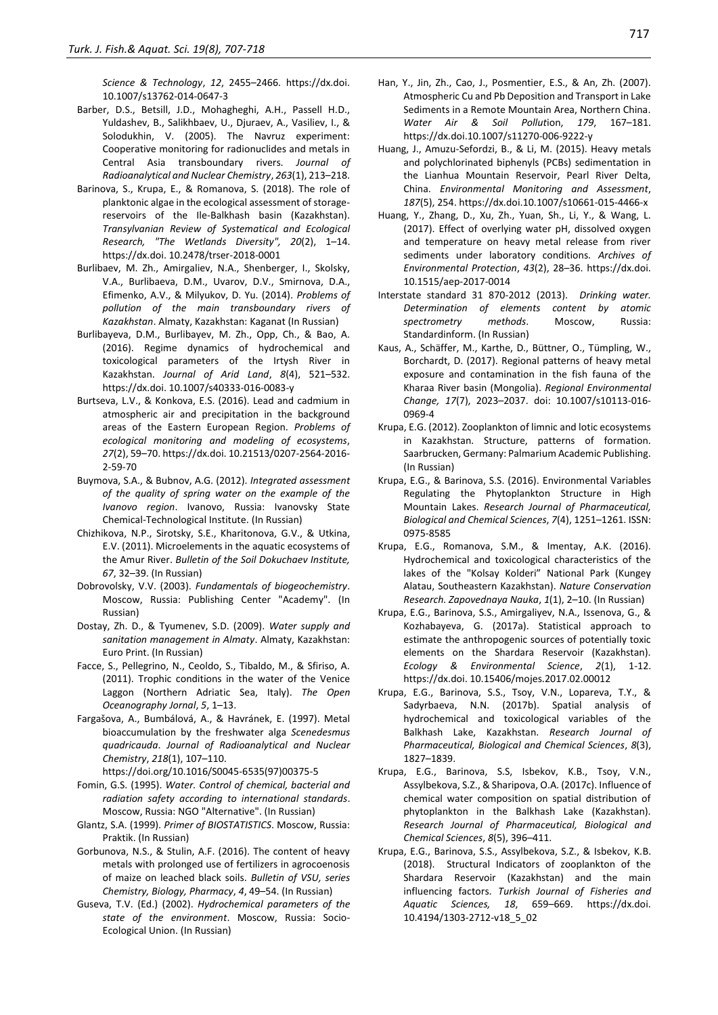*Science & Technology*, *12*, 2455–2466. https://dx.doi. 10.1007/s13762-014-0647-3

- Barber, D.S., Betsill, J.D., Mohagheghi, A.H., Passell H.D., Yuldashev, B., Salikhbaev, U., Djuraev, A., Vasiliev, I., & Solodukhin, V. (2005). The Navruz experiment: Cooperative monitoring for radionuclides and metals in Central Asia transboundary rivers. *Journal of Radioanalytical and Nuclear Chemistry*, *263*(1), 213–218.
- Barinova, S., Krupa, E., & Romanova, S. (2018). The role of planktonic algae in the ecological assessment of storagereservoirs of the Ile-Balkhash basin (Kazakhstan). *Transylvanian Review of Systematical and Ecological Research, "The Wetlands Diversity", 20*(2), 1–14. https://dx.doi. 10.2478/trser-2018-0001
- Burlibaev, M. Zh., Amirgaliev, N.A., Shenberger, I., Skolsky, V.A., Burlibaeva, D.M., Uvarov, D.V., Smirnova, D.A., Efimenko, A.V., & Milyukov, D. Yu. (2014). *Problems of pollution of the main transboundary rivers of Kazakhstan*. Almaty, Kazakhstan: Kaganat (In Russian)
- Burlibayeva, D.M., Burlibayev, M. Zh., Opp, Ch., & Bao, A. (2016). Regime dynamics of hydrochemical and toxicological parameters of the Irtysh River in Kazakhstan. *Journal of Arid Land*, *8*(4), 521–532. https://dx.doi. 10.1007/s40333-016-0083-y
- Burtseva, L.V., & Konkova, E.S. (2016). Lead and cadmium in atmospheric air and precipitation in the background areas of the Eastern European Region. *Problems of ecological monitoring and modeling of ecosystems*, *27*(2), 59–70. https://dx.doi. 10.21513/0207-2564-2016- 2-59-70
- Buymova, S.A., & Bubnov, A.G. (2012). *Integrated assessment of the quality of spring water on the example of the Ivanovo region*. Ivanovo, Russia: Ivanovsky State Chemical-Technological Institute. (In Russian)
- Chizhikova, N.P., Sirotsky, S.E., Kharitonova, G.V., & Utkina, E.V. (2011). Microelements in the aquatic ecosystems of the Amur River. *Bulletin of the Soil Dokuchaev Institute, 67*, 32–39. (In Russian)
- Dobrovolsky, V.V. (2003). *Fundamentals of biogeochemistry*. Moscow, Russia: Publishing Center "Academy". (In Russian)
- Dostay, Zh. D., & Tyumenev, S.D. (2009). *Water supply and sanitation management in Almaty*. Almaty, Kazakhstan: Euro Print. (In Russian)
- Facce, S., Pellegrino, N., Ceoldo, S., Tibaldo, M., & Sfiriso, A. (2011). Trophic conditions in the water of the Venice Laggon (Northern Adriatic Sea, Italy). *The Open Oceanography Jornal*, *5*, 1–13.
- Fargašova, A., Bumbálová, A., & Havránek, E. (1997). Metal bioaccumulation by the freshwater alga *Scenedesmus quadricauda*. *Journal of Radioanalytical and Nuclear Chemistry*, *218*(1), 107–110.
	- https://doi.org/10.1016/S0045-6535(97)00375-5
- Fomin, G.S. (1995). *Water. Control of chemical, bacterial and radiation safety according to international standards*. Moscow, Russia: NGO "Alternative". (In Russian)
- Glantz, S.A. (1999). *Primer of BIOSTATISTICS*. Moscow, Russia: Praktik. (In Russian)
- Gorbunova, N.S., & Stulin, A.F. (2016). The content of heavy metals with prolonged use of fertilizers in agrocoenosis of maize on leached black soils. *Bulletin of VSU, series Chemistry, Biology, Pharmacy*, *4*, 49–54. (In Russian)
- Guseva, Т.V. (Ed.) (2002). *Hydrochemical parameters of the state of the environment*. Moscow, Russia: Socio-Ecological Union. (In Russian)
- Han, Y., Jin, Zh., Cao, J., Posmentier, E.S., & An, Zh. (2007). Atmospheric Cu and Pb Deposition and Transport in Lake Sediments in a Remote Mountain Area, Northern China. *Water Air & Soil Pollut*ion, *179*, 167–181. https://dx.doi.10.1007/s11270-006-9222-y
- Huang, J., Amuzu-Sefordzi, B., & Li, M. (2015). Heavy metals and polychlorinated biphenyls (PCBs) sedimentation in the Lianhua Mountain Reservoir, Pearl River Delta, China. *Environmental Monitoring and Assessment*, *187*(5), 254. https://dx.doi.10.1007/s10661-015-4466-x
- Huang, Y., Zhang, D., Xu, Zh., Yuan, Sh., Li, Y., & Wang, L. (2017). Effect of overlying water pH, dissolved oxygen and temperature on heavy metal release from river sediments under laboratory conditions. *Archives of Environmental Protection*, *43*(2), 28–36. https://dx.doi. 10.1515/aep-2017-0014
- Interstate standard 31 870-2012 (2013). *Drinking water. Determination of elements content by atomic spectrometry methods*. Moscow, Russia: Standardinform. (In Russian)
- Kaus, A., Schäffer, M., Karthe, D., Büttner, O., Tümpling, W., Borchardt, D. (2017). Regional patterns of heavy metal exposure and contamination in the fish fauna of the Kharaa River basin (Mongolia). *Regional Environmental Change, 17*(7), 2023–2037. doi: 10.1007/s10113-016- 0969-4
- Krupa, E.G. (2012). Zooplankton of limnic and lotic ecosystems in Kazakhstan. Structure, patterns of formation. Saarbrucken, Germany: Palmarium Academic Publishing. (In Russian)
- Krupa, E.G., & Barinova, S.S. (2016). Environmental Variables Regulating the Phytoplankton Structure in High Mountain Lakes. *Research Journal of Pharmaceutical, Biological and Chemical Sciences*, *7*(4), 1251–1261. ISSN: 0975-8585
- Krupa, E.G., Romanova, S.M., & Imentay, A.K. (2016). Hydrochemical and toxicological characteristics of the lakes of the "Kolsay Kolderi" National Park (Kungey Alatau, Southeastern Kazakhstan). *Nature Conservation Research. Zapovednaya Nauka*, *1*(1), 2–10. (In Russian)
- Krupa, E.G., Barinova, S.S., Amirgaliyev, N.А., Issenova, G., & Kozhabayeva, G. (2017a). Statistical approach to estimate the anthropogenic sources of potentially toxic elements on the Shardara Reservoir (Kazakhstan). *Ecology & Environmental Science*, *2*(1), 1-12. https://dx.doi. 10.15406/mojes.2017.02.00012
- Krupa, E.G., Barinova, S.S., Tsoy, V.N., Lopareva, T.Y., & Sadyrbaeva, N.N. (2017b). Spatial analysis of hydrochemical and toxicological variables of the Balkhash Lake, Kazakhstan. *Research Journal of Pharmaceutical, Biological and Chemical Sciences*, *8*(3), 1827–1839.
- Krupa, E.G., Barinova, S.S, Isbekov, K.B., Tsoy, V.N., Assylbekova, S.Z., & Sharipova, O.A. (2017c). Influence of chemical water composition on spatial distribution of phytoplankton in the Balkhash Lake (Kazakhstan). *Research Journal of Pharmaceutical, Biological and Chemical Sciences*, *8*(5), 396–411.
- Krupa, E.G., Barinova, S.S., Assylbekova, S.Z., & Isbekov, K.B. (2018). Structural Indicators of zooplankton of the Shardara Reservoir (Kazakhstan) and the main influencing factors. *Turkish Journal of Fisheries and Aquatic Sciences, 18*, 659–669. https://dx.doi. 10.4194/1303-2712-v18\_5\_02